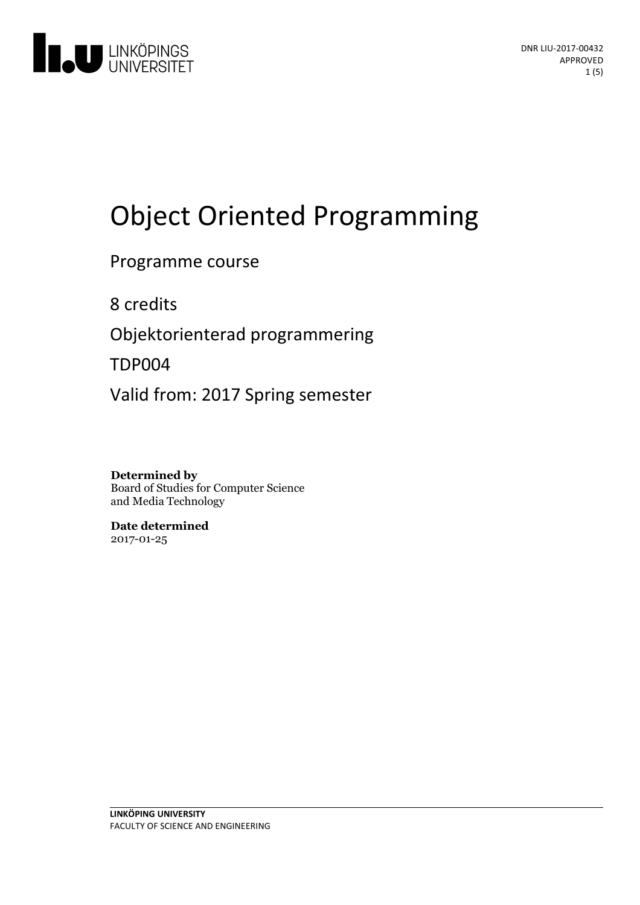

# Object Oriented Programming

## Programme course

8 credits

Objektorienterad programmering

TDP004

Valid from: 2017 Spring semester

**Determined by** Board of Studies for Computer Science and Media Technology

**Date determined** 2017-01-25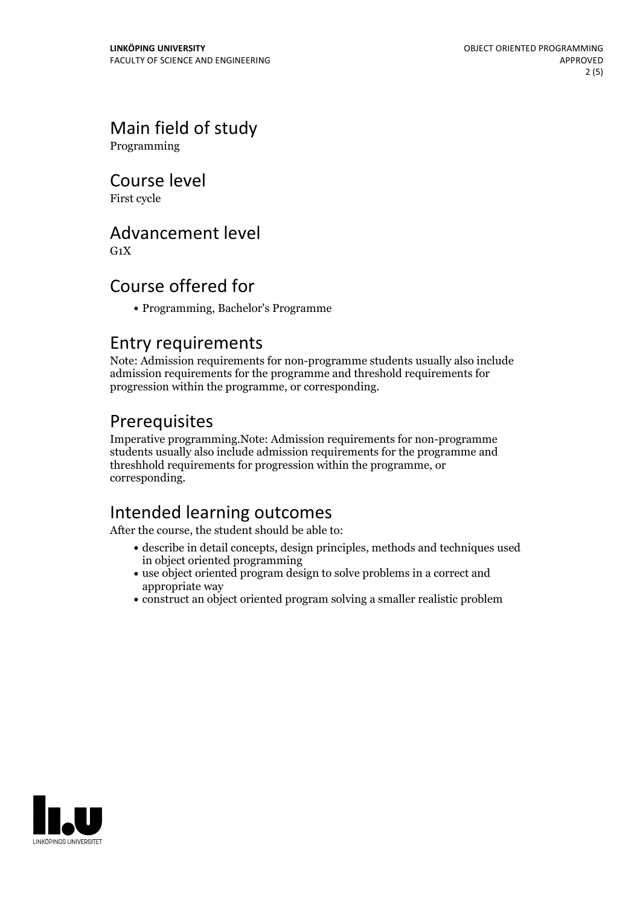# Main field of study

Programming

Course level

First cycle

## Advancement level

 $G_1X$ 

## Course offered for

Programming, Bachelor's Programme

## Entry requirements

Note: Admission requirements for non-programme students usually also include admission requirements for the programme and threshold requirements for progression within the programme, or corresponding.

## Prerequisites

Imperative programming.Note: Admission requirements for non-programme students usually also include admission requirements for the programme and threshhold requirements for progression within the programme, or corresponding.

## Intended learning outcomes

After the course, the student should be able to:

- describe in detail concepts, design principles, methods and techniques used in object oriented programming
- use object oriented program design to solve problems in a correct and appropriate way
- construct an object oriented program solving a smaller realistic problem

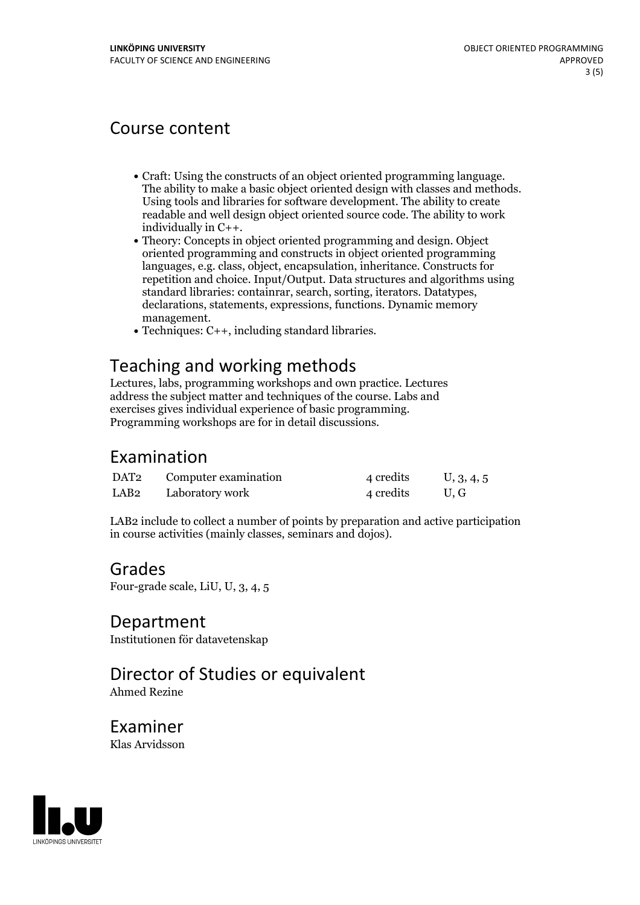## Course content

- Craft: Using the constructs of an object oriented programming language. The ability to make <sup>a</sup> basic object oriented design with classes and methods. Using tools and libraries for software development. The ability to create readable and well design object oriented source code. The ability to work
- individually in C++.<br>• Theory: Concepts in object oriented programming and design. Object oriented programming and constructs in object oriented programming languages, e.g. class, object, encapsulation, inheritance. Constructs for repetition and choice. Input/Output. Data structures and algorithms using standard libraries: containrar, search, sorting, iterators. Datatypes, declarations, statements, expressions, functions. Dynamic memory
- management.<br>• Techniques:  $C_{++}$ , including standard libraries.

## Teaching and working methods

Lectures, labs, programming workshops and own practice. Lectures address the subject matter and techniques of the course. Labs and exercises gives individual experience of basic programming. Programming workshops are for in detail discussions.

#### Examination

| DAT2 | Computer examination | 4 credits | U, 3, 4, 5 |
|------|----------------------|-----------|------------|
| LAB2 | Laboratory work      | 4 credits | U.G        |

LAB2 include to collect a number of points by preparation and active participation in course activities (mainly classes, seminars and dojos).

#### Grades

Four-grade scale, LiU, U, 3, 4, 5

#### Department

Institutionen för datavetenskap

## Director of Studies or equivalent

Ahmed Rezine

Examiner Klas Arvidsson

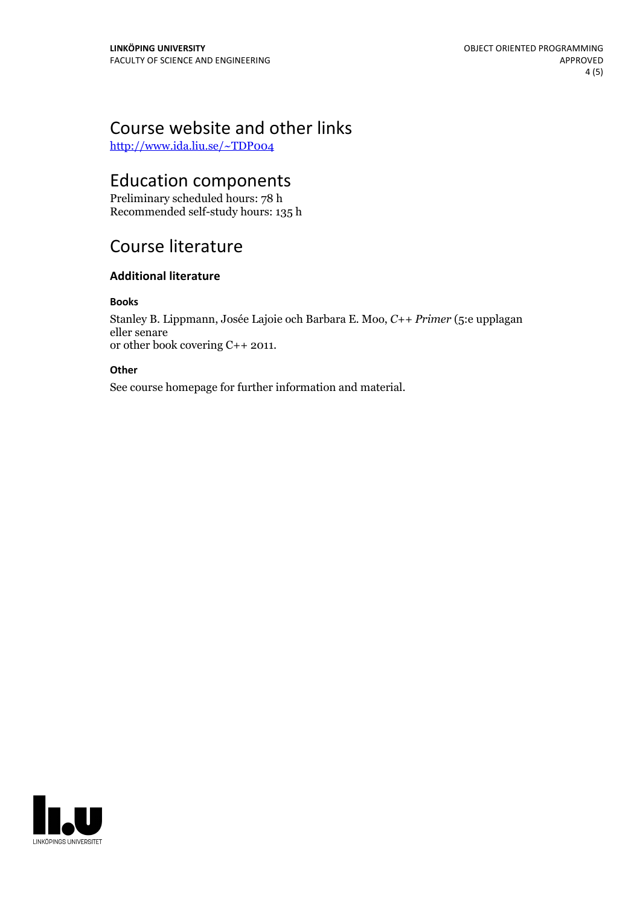# Course website and other links

<http://www.ida.liu.se/~TDP004>

## Education components

Preliminary scheduled hours: 78 h Recommended self-study hours: 135 h

## Course literature

#### **Additional literature**

#### **Books**

Stanley B. Lippmann, Josée Lajoie och Barbara E. Moo, *C++ Primer* (5:e upplagan eller senare or other book covering C++ 2011.

#### **Other**

See course homepage for further information and material.